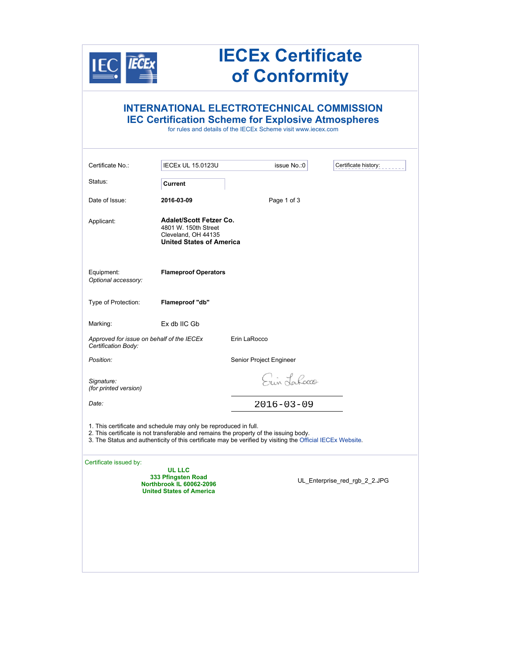|                                                                  |                                                                                                                  | <b>IECEx Certificate</b><br>of Conformity                                                                                                                                                           |                               |
|------------------------------------------------------------------|------------------------------------------------------------------------------------------------------------------|-----------------------------------------------------------------------------------------------------------------------------------------------------------------------------------------------------|-------------------------------|
|                                                                  |                                                                                                                  | <b>INTERNATIONAL ELECTROTECHNICAL COMMISSION</b><br><b>IEC Certification Scheme for Explosive Atmospheres</b><br>for rules and details of the IECEx Scheme visit www.jecex.com                      |                               |
| Certificate No.:                                                 | <b>IECEx UL 15.0123U</b>                                                                                         | issue No.:0                                                                                                                                                                                         | Certificate history:          |
| Status:                                                          | Current                                                                                                          |                                                                                                                                                                                                     |                               |
| Date of Issue:                                                   | 2016-03-09                                                                                                       | Page 1 of 3                                                                                                                                                                                         |                               |
| Applicant:                                                       | <b>Adalet/Scott Fetzer Co.</b><br>4801 W. 150th Street<br>Cleveland, OH 44135<br><b>United States of America</b> |                                                                                                                                                                                                     |                               |
| Equipment:<br>Optional accessory:                                | <b>Flameproof Operators</b>                                                                                      |                                                                                                                                                                                                     |                               |
| Type of Protection:                                              | Flameproof "db"                                                                                                  |                                                                                                                                                                                                     |                               |
| Marking:                                                         | Ex db IIC Gb                                                                                                     |                                                                                                                                                                                                     |                               |
| Approved for issue on behalf of the IECEx<br>Certification Body: |                                                                                                                  | Erin LaRocco                                                                                                                                                                                        |                               |
| Position:                                                        |                                                                                                                  | Senior Project Engineer                                                                                                                                                                             |                               |
| Signature:<br>(for printed version)                              |                                                                                                                  | Erin Lahorro                                                                                                                                                                                        |                               |
| Date:                                                            |                                                                                                                  | $2016 - 03 - 09$                                                                                                                                                                                    |                               |
|                                                                  | 1. This certificate and schedule may only be reproduced in full.                                                 | 2. This certificate is not transferable and remains the property of the issuing body.<br>3. The Status and authenticity of this certificate may be verified by visiting the Official IECEx Website. |                               |
| Certificate issued by:                                           | UL LLC<br>333 Pfingsten Road<br>Northbrook IL 60062-2096<br><b>United States of America</b>                      |                                                                                                                                                                                                     | UL_Enterprise_red_rgb_2_2.JPG |
|                                                                  |                                                                                                                  |                                                                                                                                                                                                     |                               |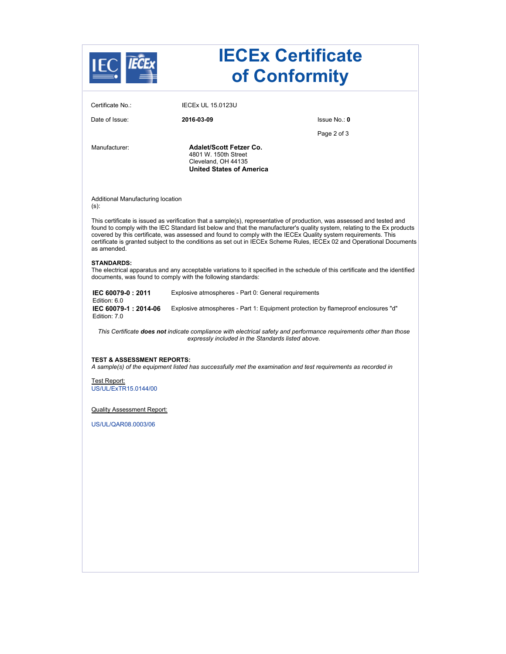|                                              |                                                                                                                  | <b>IECEx Certificate</b><br>of Conformity                                                                                                                                                                                                                                                                                                                                                                                                                                                     |
|----------------------------------------------|------------------------------------------------------------------------------------------------------------------|-----------------------------------------------------------------------------------------------------------------------------------------------------------------------------------------------------------------------------------------------------------------------------------------------------------------------------------------------------------------------------------------------------------------------------------------------------------------------------------------------|
| Certificate No.:                             | <b>IECEX UL 15.0123U</b>                                                                                         |                                                                                                                                                                                                                                                                                                                                                                                                                                                                                               |
| Date of Issue:                               | 2016-03-09                                                                                                       | lssue No.: 0                                                                                                                                                                                                                                                                                                                                                                                                                                                                                  |
|                                              |                                                                                                                  | Page 2 of 3                                                                                                                                                                                                                                                                                                                                                                                                                                                                                   |
| Manufacturer:                                | <b>Adalet/Scott Fetzer Co.</b><br>4801 W. 150th Street<br>Cleveland, OH 44135<br><b>United States of America</b> |                                                                                                                                                                                                                                                                                                                                                                                                                                                                                               |
| Additional Manufacturing location<br>$(s)$ : |                                                                                                                  |                                                                                                                                                                                                                                                                                                                                                                                                                                                                                               |
| as amended.                                  |                                                                                                                  | This certificate is issued as verification that a sample(s), representative of production, was assessed and tested and<br>found to comply with the IEC Standard list below and that the manufacturer's quality system, relating to the Ex products<br>covered by this certificate, was assessed and found to comply with the IECEx Quality system requirements. This<br>certificate is granted subject to the conditions as set out in IECEx Scheme Rules, IECEx 02 and Operational Documents |
| <b>STANDARDS:</b>                            | documents, was found to comply with the following standards:                                                     | The electrical apparatus and any acceptable variations to it specified in the schedule of this certificate and the identified                                                                                                                                                                                                                                                                                                                                                                 |
| IEC 60079-0:2011<br>Edition: 6.0             | Explosive atmospheres - Part 0: General requirements                                                             |                                                                                                                                                                                                                                                                                                                                                                                                                                                                                               |
| IEC 60079-1:2014-06<br>Edition: 7.0          |                                                                                                                  | Explosive atmospheres - Part 1: Equipment protection by flameproof enclosures "d"                                                                                                                                                                                                                                                                                                                                                                                                             |
|                                              | expressly included in the Standards listed above.                                                                | This Certificate <b>does not</b> indicate compliance with electrical safety and performance requirements other than those                                                                                                                                                                                                                                                                                                                                                                     |
| <b>TEST &amp; ASSESSMENT REPORTS:</b>        |                                                                                                                  | A sample(s) of the equipment listed has successfully met the examination and test requirements as recorded in                                                                                                                                                                                                                                                                                                                                                                                 |
| Test Report:<br>US/UL/ExTR15.0144/00         |                                                                                                                  |                                                                                                                                                                                                                                                                                                                                                                                                                                                                                               |
| <b>Quality Assessment Report:</b>            |                                                                                                                  |                                                                                                                                                                                                                                                                                                                                                                                                                                                                                               |
| US/UL/QAR08.0003/06                          |                                                                                                                  |                                                                                                                                                                                                                                                                                                                                                                                                                                                                                               |
|                                              |                                                                                                                  |                                                                                                                                                                                                                                                                                                                                                                                                                                                                                               |
|                                              |                                                                                                                  |                                                                                                                                                                                                                                                                                                                                                                                                                                                                                               |
|                                              |                                                                                                                  |                                                                                                                                                                                                                                                                                                                                                                                                                                                                                               |
|                                              |                                                                                                                  |                                                                                                                                                                                                                                                                                                                                                                                                                                                                                               |
|                                              |                                                                                                                  |                                                                                                                                                                                                                                                                                                                                                                                                                                                                                               |
|                                              |                                                                                                                  |                                                                                                                                                                                                                                                                                                                                                                                                                                                                                               |
|                                              |                                                                                                                  |                                                                                                                                                                                                                                                                                                                                                                                                                                                                                               |
|                                              |                                                                                                                  |                                                                                                                                                                                                                                                                                                                                                                                                                                                                                               |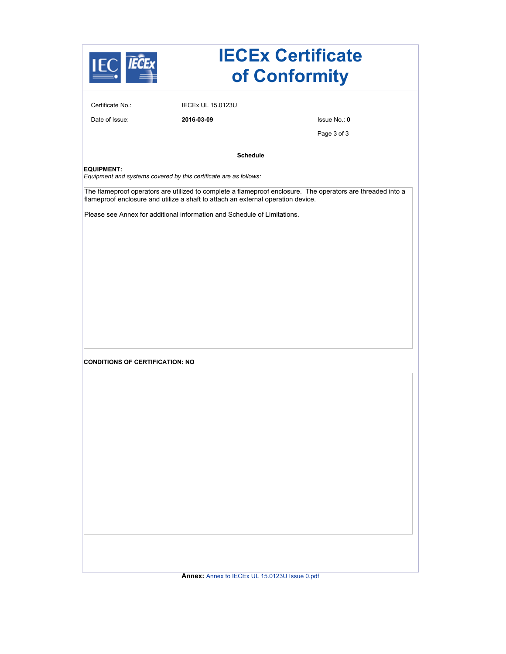|                                                                                        | <b>IECEx Certificate</b><br>of Conformity                                                                                                                                                                                                                                   |              |
|----------------------------------------------------------------------------------------|-----------------------------------------------------------------------------------------------------------------------------------------------------------------------------------------------------------------------------------------------------------------------------|--------------|
| Certificate No.:                                                                       | <b>IECEX UL 15.0123U</b>                                                                                                                                                                                                                                                    |              |
| Date of Issue:                                                                         | 2016-03-09                                                                                                                                                                                                                                                                  | lssue No.: 0 |
|                                                                                        |                                                                                                                                                                                                                                                                             | Page 3 of 3  |
|                                                                                        | <b>Schedule</b>                                                                                                                                                                                                                                                             |              |
| <b>EQUIPMENT:</b><br>Equipment and systems covered by this certificate are as follows: |                                                                                                                                                                                                                                                                             |              |
|                                                                                        | The flameproof operators are utilized to complete a flameproof enclosure. The operators are threaded into a<br>flameproof enclosure and utilize a shaft to attach an external operation device.<br>Please see Annex for additional information and Schedule of Limitations. |              |
|                                                                                        |                                                                                                                                                                                                                                                                             |              |
|                                                                                        |                                                                                                                                                                                                                                                                             |              |
|                                                                                        |                                                                                                                                                                                                                                                                             |              |
| <b>CONDITIONS OF CERTIFICATION: NO</b>                                                 |                                                                                                                                                                                                                                                                             |              |
|                                                                                        |                                                                                                                                                                                                                                                                             |              |
|                                                                                        |                                                                                                                                                                                                                                                                             |              |
|                                                                                        |                                                                                                                                                                                                                                                                             |              |
|                                                                                        |                                                                                                                                                                                                                                                                             |              |
|                                                                                        |                                                                                                                                                                                                                                                                             |              |
|                                                                                        |                                                                                                                                                                                                                                                                             |              |
|                                                                                        |                                                                                                                                                                                                                                                                             |              |
|                                                                                        |                                                                                                                                                                                                                                                                             |              |
|                                                                                        |                                                                                                                                                                                                                                                                             |              |
|                                                                                        |                                                                                                                                                                                                                                                                             |              |
|                                                                                        | Annex: Annex to IECEx UL 15.0123U Issue 0.pdf                                                                                                                                                                                                                               |              |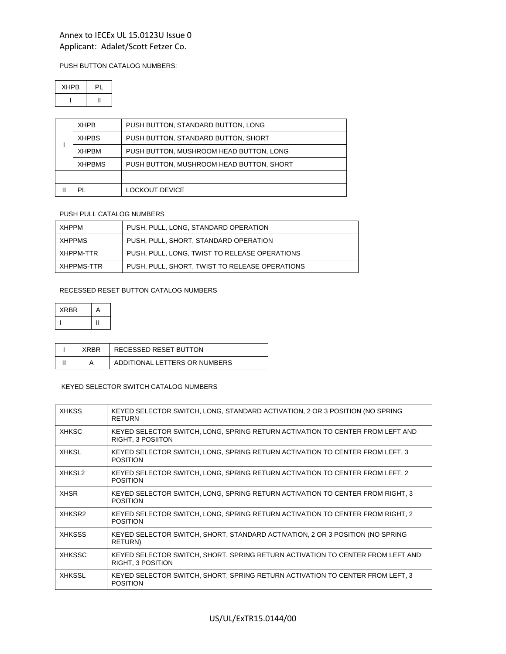#### PUSH BUTTON CATALOG NUMBERS:

| <b>XHPB</b> | PI |
|-------------|----|
|             |    |

| <b>XHPB</b>   | PUSH BUTTON, STANDARD BUTTON, LONG       |
|---------------|------------------------------------------|
| <b>XHPBS</b>  | PUSH BUTTON, STANDARD BUTTON, SHORT      |
| <b>XHPBM</b>  | PUSH BUTTON, MUSHROOM HEAD BUTTON, LONG  |
| <b>XHPBMS</b> | PUSH BUTTON, MUSHROOM HEAD BUTTON, SHORT |
|               |                                          |
| PL            | LOCKOUT DEVICE                           |

### PUSH PULL CATALOG NUMBERS

| ХНРРМ      | PUSH, PULL, LONG, STANDARD OPERATION           |
|------------|------------------------------------------------|
| XHPPMS     | PUSH, PULL, SHORT, STANDARD OPERATION          |
| XHPPM-TTR  | PUSH, PULL, LONG, TWIST TO RELEASE OPERATIONS  |
| XHPPMS-TTR | PUSH, PULL, SHORT, TWIST TO RELEASE OPERATIONS |

#### RECESSED RESET BUTTON CATALOG NUMBERS

| <b>XRBR</b> | A |
|-------------|---|
|             |   |

| XRRR | RECESSED RESET BUTTON         |
|------|-------------------------------|
|      | ADDITIONAL LETTERS OR NUMBERS |

### KEYED SELECTOR SWITCH CATALOG NUMBERS

| <b>XHKSS</b>  | KEYED SELECTOR SWITCH, LONG, STANDARD ACTIVATION, 2 OR 3 POSITION (NO SPRING<br><b>RETURN</b>       |
|---------------|-----------------------------------------------------------------------------------------------------|
| <b>XHKSC</b>  | KEYED SELECTOR SWITCH, LONG, SPRING RETURN ACTIVATION TO CENTER FROM LEFT AND<br>RIGHT, 3 POSIITON  |
| <b>XHKSL</b>  | KEYED SELECTOR SWITCH, LONG, SPRING RETURN ACTIVATION TO CENTER FROM LEFT, 3<br><b>POSITION</b>     |
| XHKSL2        | KEYED SELECTOR SWITCH, LONG, SPRING RETURN ACTIVATION TO CENTER FROM LEFT, 2<br><b>POSITION</b>     |
| <b>XHSR</b>   | KEYED SELECTOR SWITCH, LONG, SPRING RETURN ACTIVATION TO CENTER FROM RIGHT, 3<br><b>POSITION</b>    |
| XHKSR2        | KEYED SELECTOR SWITCH, LONG, SPRING RETURN ACTIVATION TO CENTER FROM RIGHT, 2<br><b>POSITION</b>    |
| <b>XHKSSS</b> | KEYED SELECTOR SWITCH, SHORT, STANDARD ACTIVATION, 2 OR 3 POSITION (NO SPRING<br>RETURN)            |
| <b>XHKSSC</b> | KEYED SELECTOR SWITCH, SHORT, SPRING RETURN ACTIVATION TO CENTER FROM LEFT AND<br>RIGHT, 3 POSITION |
| <b>XHKSSL</b> | KEYED SELECTOR SWITCH, SHORT, SPRING RETURN ACTIVATION TO CENTER FROM LEFT, 3<br><b>POSITION</b>    |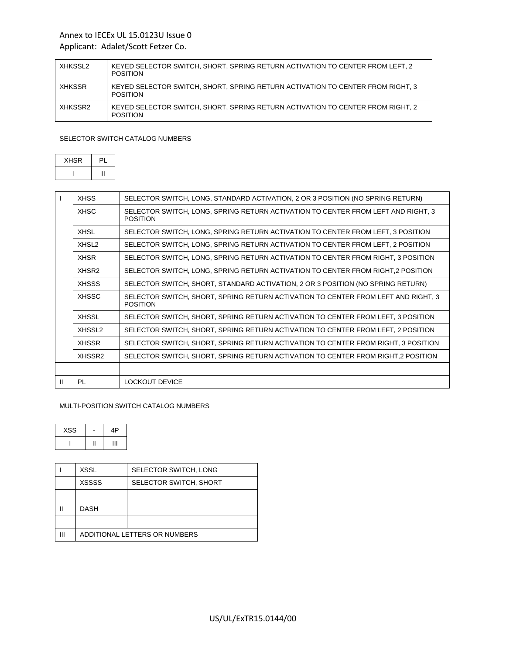# Annex to IECEx UL 15.0123U Issue 0

# Applicant: Adalet/Scott Fetzer Co.

| XHKSSL2 | KEYED SELECTOR SWITCH, SHORT, SPRING RETURN ACTIVATION TO CENTER FROM LEFT, 2<br><b>POSITION</b>  |
|---------|---------------------------------------------------------------------------------------------------|
| XHKSSR  | KEYED SELECTOR SWITCH, SHORT, SPRING RETURN ACTIVATION TO CENTER FROM RIGHT, 3<br><b>POSITION</b> |
| XHKSSR2 | KEYED SELECTOR SWITCH, SHORT, SPRING RETURN ACTIVATION TO CENTER FROM RIGHT, 2<br><b>POSITION</b> |

# SELECTOR SWITCH CATALOG NUMBERS

| <b>XHSR</b> | PI |
|-------------|----|
|             |    |

|   | <b>XHSS</b>        | SELECTOR SWITCH, LONG, STANDARD ACTIVATION, 2 OR 3 POSITION (NO SPRING RETURN)                       |
|---|--------------------|------------------------------------------------------------------------------------------------------|
|   | <b>XHSC</b>        | SELECTOR SWITCH, LONG, SPRING RETURN ACTIVATION TO CENTER FROM LEFT AND RIGHT, 3<br><b>POSITION</b>  |
|   | <b>XHSL</b>        | SELECTOR SWITCH, LONG, SPRING RETURN ACTIVATION TO CENTER FROM LEFT, 3 POSITION                      |
|   | XHSL <sub>2</sub>  | SELECTOR SWITCH, LONG, SPRING RETURN ACTIVATION TO CENTER FROM LEFT, 2 POSITION                      |
|   | <b>XHSR</b>        | SELECTOR SWITCH, LONG, SPRING RETURN ACTIVATION TO CENTER FROM RIGHT, 3 POSITION                     |
|   | XHSR <sub>2</sub>  | SELECTOR SWITCH, LONG, SPRING RETURN ACTIVATION TO CENTER FROM RIGHT,2 POSITION                      |
|   | <b>XHSSS</b>       | SELECTOR SWITCH, SHORT, STANDARD ACTIVATION, 2 OR 3 POSITION (NO SPRING RETURN)                      |
|   | <b>XHSSC</b>       | SELECTOR SWITCH, SHORT, SPRING RETURN ACTIVATION TO CENTER FROM LEFT AND RIGHT, 3<br><b>POSITION</b> |
|   | <b>XHSSL</b>       | SELECTOR SWITCH, SHORT, SPRING RETURN ACTIVATION TO CENTER FROM LEFT, 3 POSITION                     |
|   | XHSSL <sub>2</sub> | SELECTOR SWITCH, SHORT, SPRING RETURN ACTIVATION TO CENTER FROM LEFT, 2 POSITION                     |
|   | <b>XHSSR</b>       | SELECTOR SWITCH, SHORT, SPRING RETURN ACTIVATION TO CENTER FROM RIGHT, 3 POSITION                    |
|   | XHSSR <sub>2</sub> | SELECTOR SWITCH, SHORT, SPRING RETURN ACTIVATION TO CENTER FROM RIGHT,2 POSITION                     |
|   |                    |                                                                                                      |
| H | <b>PL</b>          | LOCKOUT DEVICE                                                                                       |

### MULTI-POSITION SWITCH CATALOG NUMBERS

| <b>XSS</b> | ΔP |
|------------|----|
|            | u  |

|   | XSSL                          | SELECTOR SWITCH, LONG  |
|---|-------------------------------|------------------------|
|   | <b>XSSSS</b>                  | SELECTOR SWITCH, SHORT |
|   |                               |                        |
|   | <b>DASH</b>                   |                        |
|   |                               |                        |
| Ш | ADDITIONAL LETTERS OR NUMBERS |                        |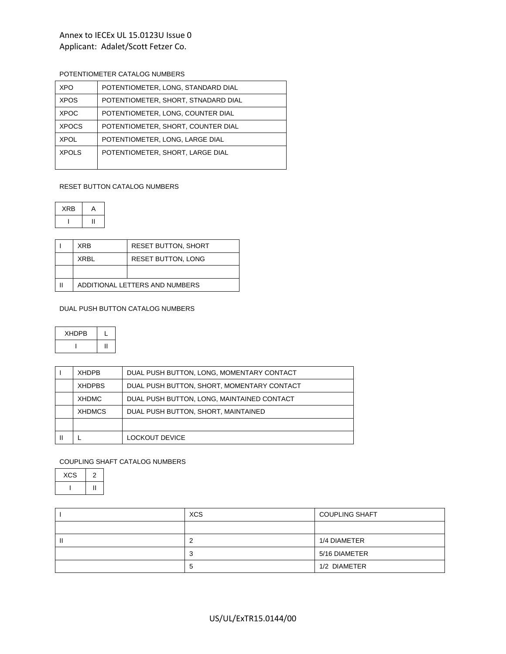# POTENTIOMETER CATALOG NUMBERS

| XPO.         | POTENTIOMETER, LONG, STANDARD DIAL  |
|--------------|-------------------------------------|
| <b>XPOS</b>  | POTENTIOMETER, SHORT, STNADARD DIAL |
| <b>XPOC</b>  | POTENTIOMETER. LONG. COUNTER DIAL   |
| <b>XPOCS</b> | POTENTIOMETER, SHORT, COUNTER DIAL  |
| <b>XPOL</b>  | POTENTIOMETER, LONG, LARGE DIAL     |
| <b>XPOLS</b> | POTENTIOMETER, SHORT, LARGE DIAL    |
|              |                                     |

# RESET BUTTON CATALOG NUMBERS

XRB A  $\| \cdot \|$ 

| <b>XRB</b>                     | <b>RESET BUTTON, SHORT</b> |
|--------------------------------|----------------------------|
| XRBI                           | <b>RESET BUTTON, LONG</b>  |
|                                |                            |
| ADDITIONAL LETTERS AND NUMBERS |                            |

## DUAL PUSH BUTTON CATALOG NUMBERS

| <b>XHDPB</b> |  |
|--------------|--|
|              |  |

| <b>XHDPB</b>  | DUAL PUSH BUTTON, LONG, MOMENTARY CONTACT  |
|---------------|--------------------------------------------|
| <b>XHDPBS</b> | DUAL PUSH BUTTON, SHORT, MOMENTARY CONTACT |
| <b>XHDMC</b>  | DUAL PUSH BUTTON, LONG, MAINTAINED CONTACT |
| <b>XHDMCS</b> | DUAL PUSH BUTTON, SHORT, MAINTAINED        |
|               |                                            |
|               | LOCKOUT DEVICE                             |

## COUPLING SHAFT CATALOG NUMBERS

| <b>XCS</b> |  |
|------------|--|
|            |  |

|   | <b>XCS</b> | <b>COUPLING SHAFT</b> |
|---|------------|-----------------------|
|   |            |                       |
| ш | ∼          | 1/4 DIAMETER          |
|   | -3         | 5/16 DIAMETER         |
|   | ა          | 1/2 DIAMETER          |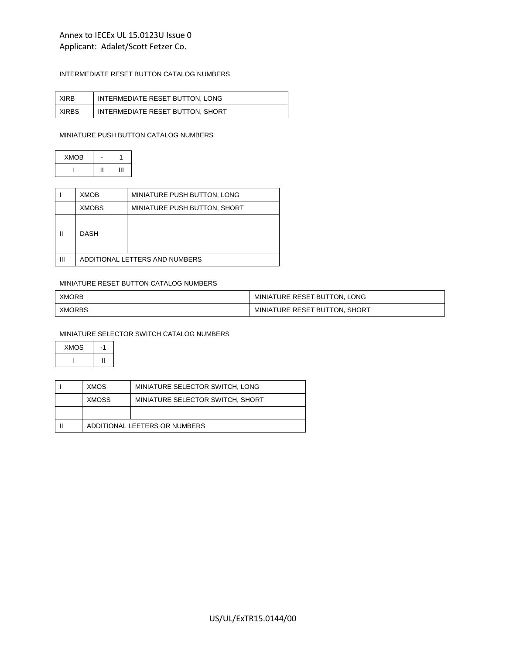# INTERMEDIATE RESET BUTTON CATALOG NUMBERS

| <b>XIRB</b>  | INTERMEDIATE RESET BUTTON, LONG  |
|--------------|----------------------------------|
| <b>XIRBS</b> | INTERMEDIATE RESET BUTTON, SHORT |

#### MINIATURE PUSH BUTTON CATALOG NUMBERS

| <b>XMOB</b> |   |
|-------------|---|
|             | π |

|   | XMOB                           | MINIATURE PUSH BUTTON, LONG  |  |  |
|---|--------------------------------|------------------------------|--|--|
|   | <b>XMOBS</b>                   | MINIATURE PUSH BUTTON, SHORT |  |  |
|   |                                |                              |  |  |
| Ш | <b>DASH</b>                    |                              |  |  |
|   |                                |                              |  |  |
| Ш | ADDITIONAL LETTERS AND NUMBERS |                              |  |  |

#### MINIATURE RESET BUTTON CATALOG NUMBERS

| <b>XMORB</b>  | MINIATURE RESET BUTTON, LONG  |
|---------------|-------------------------------|
| <b>XMORBS</b> | MINIATURE RESET BUTTON, SHORT |

## MINIATURE SELECTOR SWITCH CATALOG NUMBERS

| <b>XMOS</b> |    |
|-------------|----|
|             | וו |

| <b>XMOS</b>                   | MINIATURE SELECTOR SWITCH, LONG  |
|-------------------------------|----------------------------------|
| XMOSS                         | MINIATURE SELECTOR SWITCH, SHORT |
|                               |                                  |
| ADDITIONAL LEETERS OR NUMBERS |                                  |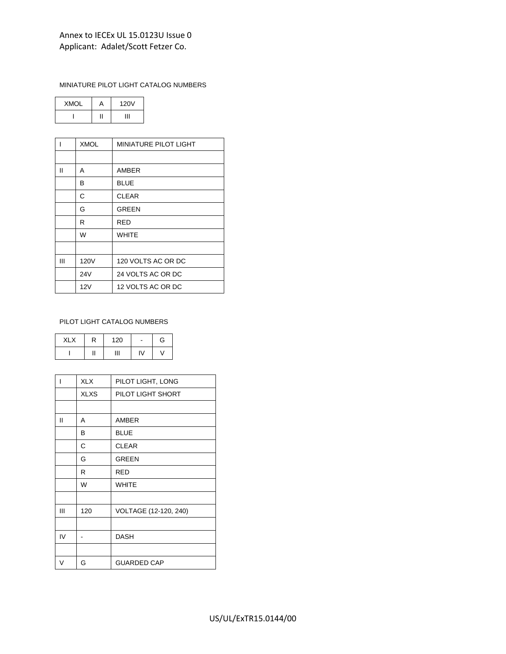### MINIATURE PILOT LIGHT CATALOG NUMBERS

| <b>XMOL</b> | ц | <b>120V</b> |
|-------------|---|-------------|
|             |   |             |

| ı | <b>XMOL</b> | <b>MINIATURE PILOT LIGHT</b> |  |
|---|-------------|------------------------------|--|
|   |             |                              |  |
| Ш | A           | AMBER                        |  |
|   | В           | <b>BLUE</b>                  |  |
|   | C           | <b>CLEAR</b>                 |  |
|   | G           | <b>GREEN</b>                 |  |
|   | R           | <b>RED</b>                   |  |
|   | W           | <b>WHITE</b>                 |  |
|   |             |                              |  |
| Ш | 120V        | 120 VOLTS AC OR DC           |  |
|   | 24V         | 24 VOLTS AC OR DC            |  |
|   | 12V         | 12 VOLTS AC OR DC            |  |

#### PILOT LIGHT CATALOG NUMBERS

| <b>XLX</b> | R | 120 | $\qquad \qquad \blacksquare$ | G |
|------------|---|-----|------------------------------|---|
|            | Π | Ш   | I٧                           |   |

| I  | <b>XLX</b>  | PILOT LIGHT, LONG     |
|----|-------------|-----------------------|
|    | <b>XLXS</b> | PILOT LIGHT SHORT     |
|    |             |                       |
| Ш  | A           | AMBER                 |
|    | в           | <b>BLUE</b>           |
|    | C           | <b>CLEAR</b>          |
|    | G           | <b>GREEN</b>          |
|    | R           | <b>RED</b>            |
|    | W           | <b>WHITE</b>          |
|    |             |                       |
| Ш  | 120         | VOLTAGE (12-120, 240) |
|    |             |                       |
| IV |             | <b>DASH</b>           |
|    |             |                       |
| V  | G           | <b>GUARDED CAP</b>    |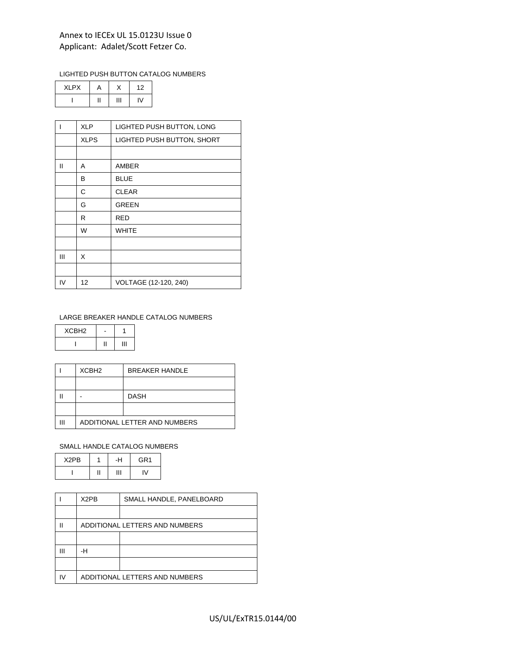## LIGHTED PUSH BUTTON CATALOG NUMBERS

| <b>XLPX</b> |  |  |
|-------------|--|--|
|             |  |  |

|    | <b>XLP</b>  | LIGHTED PUSH BUTTON, LONG  |
|----|-------------|----------------------------|
|    | <b>XLPS</b> | LIGHTED PUSH BUTTON, SHORT |
|    |             |                            |
| Ш  | A           | AMBER                      |
|    | в           | <b>BLUE</b>                |
|    | С           | <b>CLEAR</b>               |
|    | G           | <b>GREEN</b>               |
|    | R           | <b>RED</b>                 |
|    | W           | <b>WHITE</b>               |
|    |             |                            |
| Ш  | X           |                            |
|    |             |                            |
| IV | 12          | VOLTAGE (12-120, 240)      |

### LARGE BREAKER HANDLE CATALOG NUMBERS

| XCBH <sub>2</sub> |  |
|-------------------|--|
|                   |  |

| XCBH <sub>2</sub>             | <b>BREAKER HANDLE</b> |
|-------------------------------|-----------------------|
|                               |                       |
|                               | <b>DASH</b>           |
|                               |                       |
| ADDITIONAL LETTER AND NUMBERS |                       |

# SMALL HANDLE CATALOG NUMBERS

| X <sub>2</sub> PB | -H | GR <sub>1</sub> |
|-------------------|----|-----------------|
|                   | Ш  |                 |

|    | X2PB                           | SMALL HANDLE, PANELBOARD       |
|----|--------------------------------|--------------------------------|
|    |                                |                                |
| Ш  |                                | ADDITIONAL LETTERS AND NUMBERS |
|    |                                |                                |
| Ш  | -н                             |                                |
|    |                                |                                |
| I٧ | ADDITIONAL LETTERS AND NUMBERS |                                |